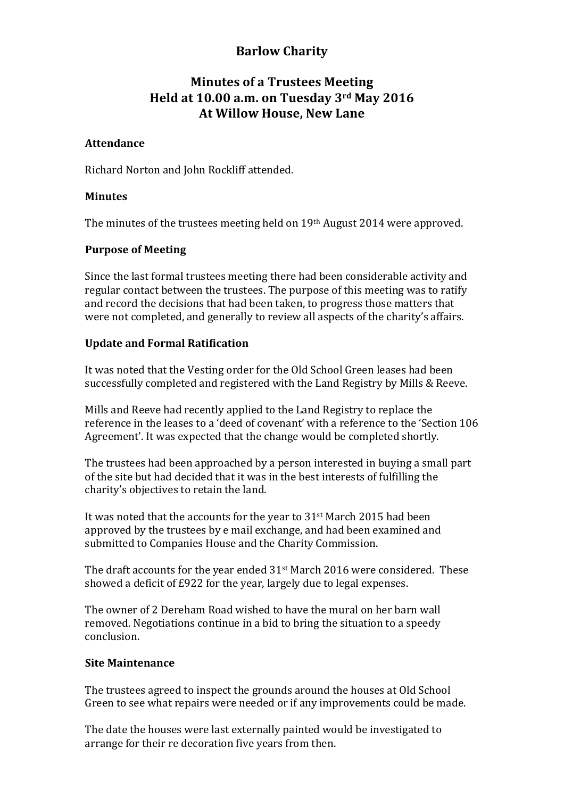## **Barlow Charity**

# **Minutes of a Trustees Meeting Held at 10.00 a.m. on Tuesday 3rd May 2016 At Willow House, New Lane**

## **Attendance**

Richard Norton and John Rockliff attended.

## **Minutes**

The minutes of the trustees meeting held on 19th August 2014 were approved.

## **Purpose of Meeting**

Since the last formal trustees meeting there had been considerable activity and regular contact between the trustees. The purpose of this meeting was to ratify and record the decisions that had been taken, to progress those matters that were not completed, and generally to review all aspects of the charity's affairs.

## **Update and Formal Ratification**

It was noted that the Vesting order for the Old School Green leases had been successfully completed and registered with the Land Registry by Mills & Reeve.

Mills and Reeve had recently applied to the Land Registry to replace the reference in the leases to a 'deed of covenant' with a reference to the 'Section 106 Agreement'. It was expected that the change would be completed shortly.

The trustees had been approached by a person interested in buying a small part of the site but had decided that it was in the best interests of fulfilling the charity's objectives to retain the land.

It was noted that the accounts for the year to  $31<sup>st</sup>$  March 2015 had been approved by the trustees by e mail exchange, and had been examined and submitted to Companies House and the Charity Commission.

The draft accounts for the vear ended  $31<sup>st</sup>$  March 2016 were considered. These showed a deficit of £922 for the year, largely due to legal expenses.

The owner of 2 Dereham Road wished to have the mural on her barn wall removed. Negotiations continue in a bid to bring the situation to a speedy conclusion.

#### **Site Maintenance**

The trustees agreed to inspect the grounds around the houses at Old School Green to see what repairs were needed or if any improvements could be made.

The date the houses were last externally painted would be investigated to arrange for their re decoration five years from then.